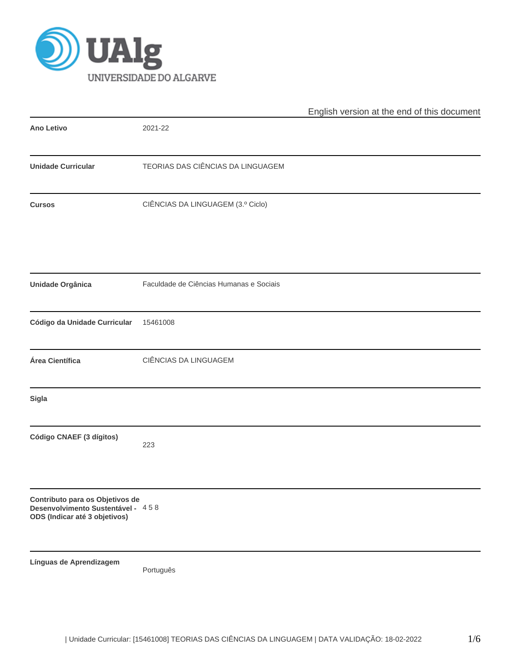

|                                                                                                       |                                         | English version at the end of this document |
|-------------------------------------------------------------------------------------------------------|-----------------------------------------|---------------------------------------------|
| Ano Letivo                                                                                            | 2021-22                                 |                                             |
| <b>Unidade Curricular</b>                                                                             | TEORIAS DAS CIÊNCIAS DA LINGUAGEM       |                                             |
| <b>Cursos</b>                                                                                         | CIÊNCIAS DA LINGUAGEM (3.º Ciclo)       |                                             |
| Unidade Orgânica                                                                                      | Faculdade de Ciências Humanas e Sociais |                                             |
| Código da Unidade Curricular                                                                          | 15461008                                |                                             |
| Área Científica                                                                                       | CIÊNCIAS DA LINGUAGEM                   |                                             |
| Sigla                                                                                                 |                                         |                                             |
| Código CNAEF (3 dígitos)                                                                              | 223                                     |                                             |
| Contributo para os Objetivos de<br>Desenvolvimento Sustentável - 458<br>ODS (Indicar até 3 objetivos) |                                         |                                             |
| Línguas de Aprendizagem                                                                               | Português                               |                                             |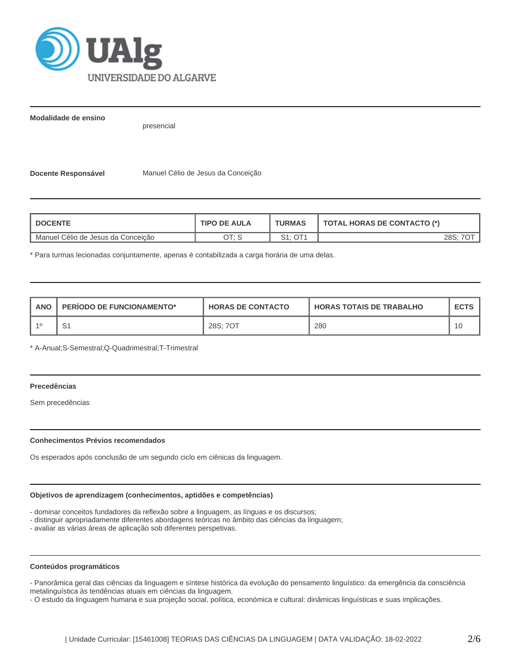

**Modalidade de ensino**

presencial

**Docente Responsável** Manuel Célio de Jesus da Conceição

| <b>DOCENTE</b>                     | <b>TIPO DE AULA</b> | <b>TURMAS</b> | <b>TOTAL HORAS DE CONTACTO (*)</b> |  |  |
|------------------------------------|---------------------|---------------|------------------------------------|--|--|
| Manuel Célio de Jesus da Conceição | ם ידר               | S1: OT1       | 28S:                               |  |  |

\* Para turmas lecionadas conjuntamente, apenas é contabilizada a carga horária de uma delas.

| <b>ANO</b> | <b>PERIODO DE FUNCIONAMENTO*</b> | <b>HORAS DE CONTACTO</b> | <b>HORAS TOTAIS DE TRABALHO</b> | <b>ECTS</b> |
|------------|----------------------------------|--------------------------|---------------------------------|-------------|
| $-40$      | ، ب                              | 28S; 7OT                 | 280                             |             |

\* A-Anual;S-Semestral;Q-Quadrimestral;T-Trimestral

# **Precedências**

Sem precedências

### **Conhecimentos Prévios recomendados**

Os esperados após conclusão de um segundo ciclo em ciênicas da linguagem.

### **Objetivos de aprendizagem (conhecimentos, aptidões e competências)**

- dominar conceitos fundadores da reflexão sobre a linguagem, as línguas e os discursos;

- distinguir apropriadamente diferentes abordagens teóricas no âmbito das ciências da linguagem;

- avaliar as várias áreas de aplicação sob diferentes perspetivas.

### **Conteúdos programáticos**

- Panorâmica geral das ciências da linguagem e síntese histórica da evolução do pensamento linguístico: da emergência da consciência metalinguística às tendências atuais em ciências da linguagem.

- O estudo da linguagem humana e sua projeção social, política, económica e cultural: dinâmicas linguísticas e suas implicações.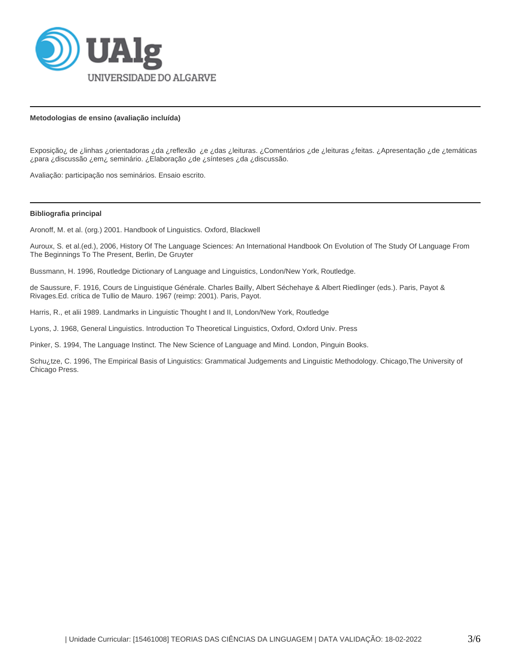

### **Metodologias de ensino (avaliação incluída)**

Exposição¿ de ¿linhas ¿orientadoras ¿da ¿reflexão ¿e ¿das ¿leituras. ¿Comentários ¿de ¿leituras ¿feitas. ¿Apresentação ¿de ¿temáticas ¿para ¿discussão ¿em¿ seminário. ¿Elaboração ¿de ¿sínteses ¿da ¿discussão.

Avaliação: participação nos seminários. Ensaio escrito.

#### **Bibliografia principal**

Aronoff, M. et al. (org.) 2001. Handbook of Linguistics. Oxford, Blackwell

Auroux, S. et al.(ed.), 2006, History Of The Language Sciences: An International Handbook On Evolution of The Study Of Language From The Beginnings To The Present, Berlin, De Gruyter

Bussmann, H. 1996, Routledge Dictionary of Language and Linguistics, London/New York, Routledge.

de Saussure, F. 1916, Cours de Linguistique Générale. Charles Bailly, Albert Séchehaye & Albert Riedlinger (eds.). Paris, Payot & Rivages.Ed. crítica de Tullio de Mauro. 1967 (reimp: 2001). Paris, Payot.

Harris, R., et alii 1989. Landmarks in Linguistic Thought I and II, London/New York, Routledge

Lyons, J. 1968, General Linguistics. Introduction To Theoretical Linguistics, Oxford, Oxford Univ. Press

Pinker, S. 1994, The Language Instinct. The New Science of Language and Mind. London, Pinguin Books.

Schu¿tze, C. 1996, The Empirical Basis of Linguistics: Grammatical Judgements and Linguistic Methodology. Chicago,The University of Chicago Press.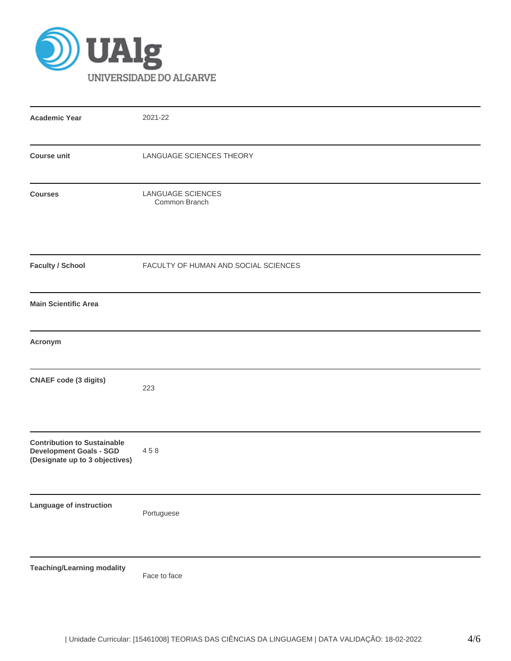

| <b>Academic Year</b>                                                                                   | 2021-22                              |  |  |  |  |  |
|--------------------------------------------------------------------------------------------------------|--------------------------------------|--|--|--|--|--|
| <b>Course unit</b>                                                                                     | LANGUAGE SCIENCES THEORY             |  |  |  |  |  |
| <b>Courses</b>                                                                                         | LANGUAGE SCIENCES<br>Common Branch   |  |  |  |  |  |
| <b>Faculty / School</b>                                                                                | FACULTY OF HUMAN AND SOCIAL SCIENCES |  |  |  |  |  |
| <b>Main Scientific Area</b>                                                                            |                                      |  |  |  |  |  |
| Acronym                                                                                                |                                      |  |  |  |  |  |
| <b>CNAEF code (3 digits)</b>                                                                           | 223                                  |  |  |  |  |  |
| <b>Contribution to Sustainable</b><br><b>Development Goals - SGD</b><br>(Designate up to 3 objectives) | 458                                  |  |  |  |  |  |
| Language of instruction                                                                                | Portuguese                           |  |  |  |  |  |
| <b>Teaching/Learning modality</b>                                                                      | Face to face                         |  |  |  |  |  |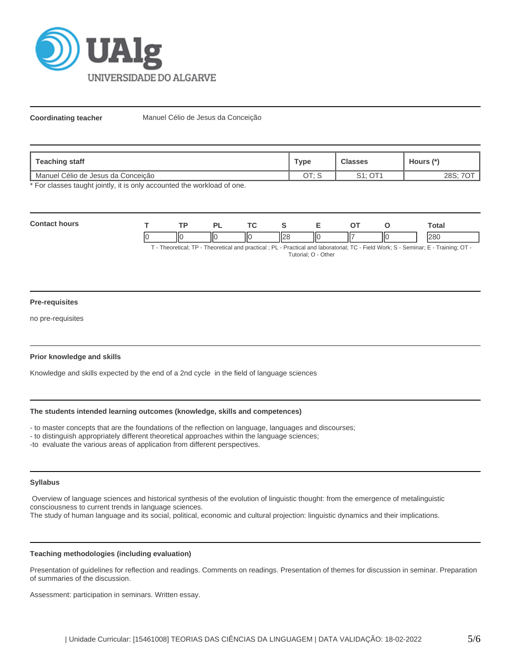

**Coordinating teacher** Manuel Célio de Jesus da Conceição

| Teaching staff                     | Туре       | <b>Classes</b> | Hours (*)     |
|------------------------------------|------------|----------------|---------------|
| Manuel Célio de Jesus da Conceição | ∩т. с<br>◡ |                | າດ ດ.<br>∠00. |

\* For classes taught jointly, it is only accounted the workload of one.

| Con | TD. |    | $\sim$ |    |     | Total      |
|-----|-----|----|--------|----|-----|------------|
|     | ШΟ  | ΠС | ШC     | ΠС | IІC | loon<br>ור |

T - Theoretical; TP - Theoretical and practical ; PL - Practical and laboratorial; TC - Field Work; S - Seminar; E - Training; OT - Tutorial; O - Other

### **Pre-requisites**

no pre-requisites

### **Prior knowledge and skills**

Knowledge and skills expected by the end of a 2nd cycle in the field of language sciences

### **The students intended learning outcomes (knowledge, skills and competences)**

- to master concepts that are the foundations of the reflection on language, languages and discourses;

- to distinguish appropriately different theoretical approaches within the language sciences;

-to evaluate the various areas of application from different perspectives.

### **Syllabus**

 Overview of language sciences and historical synthesis of the evolution of linguistic thought: from the emergence of metalinguistic consciousness to current trends in language sciences.

The study of human language and its social, political, economic and cultural projection: linguistic dynamics and their implications.

### **Teaching methodologies (including evaluation)**

Presentation of guidelines for reflection and readings. Comments on readings. Presentation of themes for discussion in seminar. Preparation of summaries of the discussion.

Assessment: participation in seminars. Written essay.